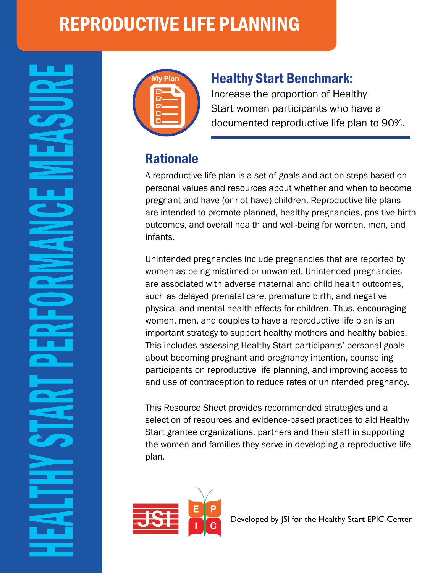# REPRODUCTIVE LIFE PLANNING



#### **Healthy Start Benchmark:**

Increase the proportion of Healthy Start women participants who have a documented reproductive life plan to 90%.

### Rationale

A reproductive life plan is a set of goals and action steps based on personal values and resources about whether and when to become pregnant and have (or not have) children. Reproductive life plans are intended to promote planned, healthy pregnancies, positive birth outcomes, and overall health and well-being for women, men, and infants.

Unintended pregnancies include pregnancies that are reported by women as being mistimed or unwanted. Unintended pregnancies are associated with adverse maternal and child health outcomes, such as delayed prenatal care, premature birth, and negative physical and mental health effects for children. Thus, encouraging women, men, and couples to have a reproductive life plan is an important strategy to support healthy mothers and healthy babies. This includes assessing Healthy Start participants' personal goals about becoming pregnant and pregnancy intention, counseling participants on reproductive life planning, and improving access to and use of contraception to reduce rates of unintended pregnancy.

This Resource Sheet provides recommended strategies and a selection of resources and evidence-based practices to aid Healthy Start grantee organizations, partners and their staff in supporting the women and families they serve in developing a reproductive life plan.



Developed by JSI for the Healthy Start EPIC Center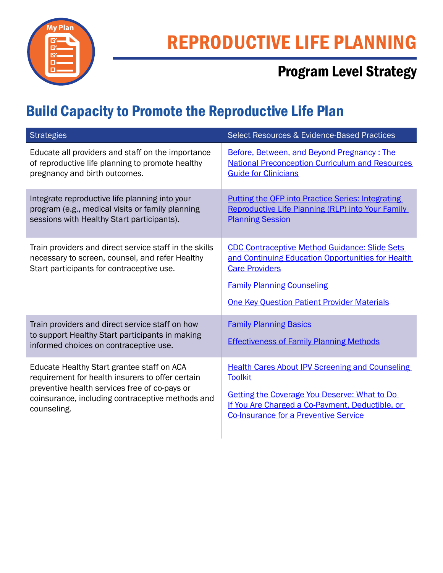

# REPRODUCTIVE LIFE PLANNING

# Program Level Strategy

# Build Capacity to Promote the Reproductive Life Plan

| <b>Strategies</b>                                                                                                                                      | <b>Select Resources &amp; Evidence-Based Practices</b>                                                                                                                                                                        |
|--------------------------------------------------------------------------------------------------------------------------------------------------------|-------------------------------------------------------------------------------------------------------------------------------------------------------------------------------------------------------------------------------|
| Educate all providers and staff on the importance                                                                                                      | Before, Between, and Beyond Pregnancy: The                                                                                                                                                                                    |
| of reproductive life planning to promote healthy                                                                                                       | <b>National Preconception Curriculum and Resources</b>                                                                                                                                                                        |
| pregnancy and birth outcomes.                                                                                                                          | <b>Guide for Clinicians</b>                                                                                                                                                                                                   |
| Integrate reproductive life planning into your                                                                                                         | <b>Putting the OFP into Practice Series: Integrating</b>                                                                                                                                                                      |
| program (e.g., medical visits or family planning                                                                                                       | Reproductive Life Planning (RLP) into Your Family                                                                                                                                                                             |
| sessions with Healthy Start participants).                                                                                                             | <b>Planning Session</b>                                                                                                                                                                                                       |
| Train providers and direct service staff in the skills<br>necessary to screen, counsel, and refer Healthy<br>Start participants for contraceptive use. | <b>CDC Contraceptive Method Guidance: Slide Sets</b><br>and Continuing Education Opportunities for Health<br><b>Care Providers</b><br><b>Family Planning Counseling</b><br><b>One Key Question Patient Provider Materials</b> |
| Train providers and direct service staff on how<br>to support Healthy Start participants in making<br>informed choices on contraceptive use.           | <b>Family Planning Basics</b><br><b>Effectiveness of Family Planning Methods</b>                                                                                                                                              |
| Educate Healthy Start grantee staff on ACA                                                                                                             | <b>Health Cares About IPV Screening and Counseling</b>                                                                                                                                                                        |
| requirement for health insurers to offer certain                                                                                                       | <b>Toolkit</b>                                                                                                                                                                                                                |
| preventive health services free of co-pays or                                                                                                          | Getting the Coverage You Deserve: What to Do                                                                                                                                                                                  |
| coinsurance, including contraceptive methods and                                                                                                       | If You Are Charged a Co-Payment, Deductible, or                                                                                                                                                                               |
| counseling.                                                                                                                                            | <b>Co-Insurance for a Preventive Service</b>                                                                                                                                                                                  |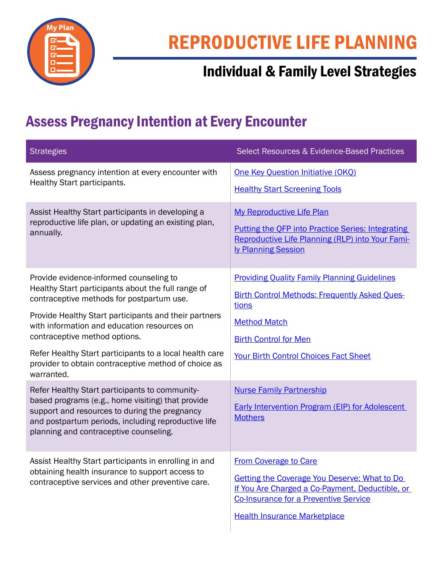

# Individual & Family Level Strategies

### Assess Pregnancy Intention at Every Encounter

| <b>Strategies</b>                                                                                                                                                                                                                                     | Select Resources & Evidence-Based Practices                                                                                                                                                                                   |
|-------------------------------------------------------------------------------------------------------------------------------------------------------------------------------------------------------------------------------------------------------|-------------------------------------------------------------------------------------------------------------------------------------------------------------------------------------------------------------------------------|
| Assess pregnancy intention at every encounter with<br>Healthy Start participants.                                                                                                                                                                     | <b>One Key Question Initiative (OKQ)</b><br><b>Healthy Start Screening Tools</b>                                                                                                                                              |
| Assist Healthy Start participants in developing a<br>reproductive life plan, or updating an existing plan,<br>annually.                                                                                                                               | My Reproductive Life Plan<br><b>Putting the OFP into Practice Series: Integrating</b><br>Reproductive Life Planning (RLP) into Your Fami-<br>ly Planning Session                                                              |
| Provide evidence-informed counseling to<br>Healthy Start participants about the full range of<br>contraceptive methods for postpartum use.                                                                                                            | <b>Providing Quality Family Planning Guidelines</b><br><b>Birth Control Methods: Frequently Asked Ques-</b><br>tions                                                                                                          |
| Provide Healthy Start participants and their partners<br>with information and education resources on<br>contraceptive method options.                                                                                                                 | <b>Method Match</b><br><b>Birth Control for Men</b>                                                                                                                                                                           |
| Refer Healthy Start participants to a local health care<br>provider to obtain contraceptive method of choice as<br>warranted.                                                                                                                         | <b>Your Birth Control Choices Fact Sheet</b>                                                                                                                                                                                  |
| Refer Healthy Start participants to community-<br>based programs (e.g., home visiting) that provide<br>support and resources to during the pregnancy<br>and postpartum periods, including reproductive life<br>planning and contraceptive counseling. | <b>Nurse Family Partnership</b><br><b>Early Intervention Program (EIP) for Adolescent</b><br><b>Mothers</b>                                                                                                                   |
| Assist Healthy Start participants in enrolling in and<br>obtaining health insurance to support access to<br>contraceptive services and other preventive care.                                                                                         | <b>From Coverage to Care</b><br><b>Getting the Coverage You Deserve: What to Do</b><br>If You Are Charged a Co-Payment, Deductible, or<br><b>Co-Insurance for a Preventive Service</b><br><b>Health Insurance Marketplace</b> |